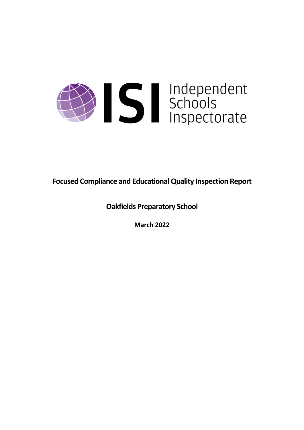

**Focused Compliance and EducationalQuality Inspection Report**

**Oakfields Preparatory School**

**March 2022**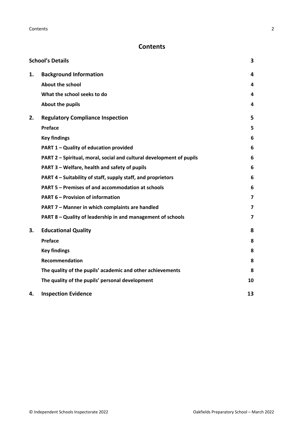# **Contents**

|    | <b>School's Details</b>                                              | 3                       |
|----|----------------------------------------------------------------------|-------------------------|
| 1. | <b>Background Information</b>                                        | 4                       |
|    | <b>About the school</b>                                              | 4                       |
|    | What the school seeks to do                                          | 4                       |
|    | About the pupils                                                     | 4                       |
| 2. | <b>Regulatory Compliance Inspection</b>                              | 5                       |
|    | Preface                                                              | 5                       |
|    | <b>Key findings</b>                                                  | 6                       |
|    | PART 1 - Quality of education provided                               | 6                       |
|    | PART 2 - Spiritual, moral, social and cultural development of pupils | 6                       |
|    | PART 3 - Welfare, health and safety of pupils                        | 6                       |
|    | PART 4 – Suitability of staff, supply staff, and proprietors         | 6                       |
|    | PART 5 - Premises of and accommodation at schools                    | 6                       |
|    | <b>PART 6 - Provision of information</b>                             | $\overline{\mathbf{z}}$ |
|    | PART 7 - Manner in which complaints are handled                      | 7                       |
|    | PART 8 - Quality of leadership in and management of schools          | $\overline{\mathbf{z}}$ |
| 3. | <b>Educational Quality</b>                                           | 8                       |
|    | Preface                                                              | 8                       |
|    | <b>Key findings</b>                                                  | 8                       |
|    | <b>Recommendation</b>                                                | 8                       |
|    | The quality of the pupils' academic and other achievements           | 8                       |
|    | The quality of the pupils' personal development                      | 10                      |
| 4. | <b>Inspection Evidence</b>                                           | 13                      |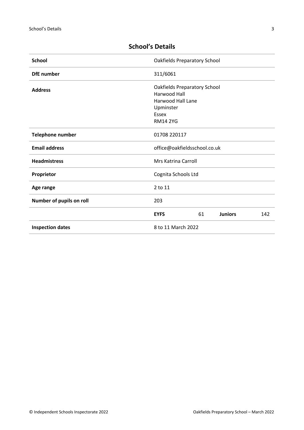| <b>School</b>            | <b>Oakfields Preparatory School</b>                                                                                             |  |  |
|--------------------------|---------------------------------------------------------------------------------------------------------------------------------|--|--|
| <b>DfE</b> number        | 311/6061                                                                                                                        |  |  |
| <b>Address</b>           | <b>Oakfields Preparatory School</b><br><b>Harwood Hall</b><br><b>Harwood Hall Lane</b><br>Upminster<br>Essex<br><b>RM14 2YG</b> |  |  |
| Telephone number         | 01708 220117                                                                                                                    |  |  |
| <b>Email address</b>     | office@oakfieldsschool.co.uk                                                                                                    |  |  |
| <b>Headmistress</b>      | Mrs Katrina Carroll                                                                                                             |  |  |
| Proprietor               | Cognita Schools Ltd                                                                                                             |  |  |
| Age range                | 2 to 11                                                                                                                         |  |  |
| Number of pupils on roll | 203                                                                                                                             |  |  |
|                          | 61<br><b>Juniors</b><br>142<br><b>EYFS</b>                                                                                      |  |  |
| <b>Inspection dates</b>  | 8 to 11 March 2022                                                                                                              |  |  |

# <span id="page-2-0"></span>**School's Details**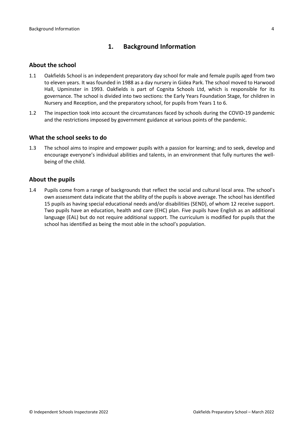# <span id="page-3-0"></span>**1. Background Information**

### <span id="page-3-1"></span>**About the school**

- 1.1 Oakfields School is an independent preparatory day school for male and female pupils aged from two to eleven years. It was founded in 1988 as a day nursery in Gidea Park. The school moved to Harwood Hall, Upminster in 1993. Oakfields is part of Cognita Schools Ltd, which is responsible for its governance. The school is divided into two sections: the Early Years Foundation Stage, for children in Nursery and Reception, and the preparatory school, for pupils from Years 1 to 6.
- 1.2 The inspection took into account the circumstances faced by schools during the COVID-19 pandemic and the restrictions imposed by government guidance at various points of the pandemic.

### <span id="page-3-2"></span>**What the school seeks to do**

1.3 The school aims to inspire and empower pupils with a passion for learning; and to seek, develop and encourage everyone's individual abilities and talents, in an environment that fully nurtures the wellbeing of the child.

### <span id="page-3-3"></span>**About the pupils**

1.4 Pupils come from a range of backgrounds that reflect the social and cultural local area. The school's own assessment data indicate that the ability of the pupils is above average. The school has identified 15 pupils as having special educational needs and/or disabilities (SEND), of whom 12 receive support. Two pupils have an education, health and care (EHC) plan. Five pupils have English as an additional language (EAL) but do not require additional support. The curriculum is modified for pupils that the school has identified as being the most able in the school's population.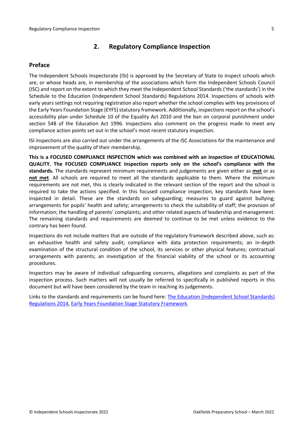# <span id="page-4-0"></span>**2. Regulatory Compliance Inspection**

# <span id="page-4-1"></span>**Preface**

The Independent Schools Inspectorate (ISI) is approved by the Secretary of State to inspect schools which are, or whose heads are, in membership of the associations which form the Independent Schools Council (ISC) and report on the extent to which they meet the Independent School Standards ('the standards') in the Schedule to the Education (Independent School Standards) Regulations 2014. Inspections of schools with early years settings not requiring registration also report whether the school complies with key provisions of the Early Years Foundation Stage (EYFS) statutory framework. Additionally, inspections report on the school's accessibility plan under Schedule 10 of the Equality Act 2010 and the ban on corporal punishment under section 548 of the Education Act 1996. Inspections also comment on the progress made to meet any compliance action points set out in the school's most recent statutory inspection.

ISI inspections are also carried out under the arrangements of the ISC Associations for the maintenance and improvement of the quality of their membership.

**This is a FOCUSED COMPLIANCE INSPECTION which was combined with an inspection of EDUCATIONAL QUALITY. The FOCUSED COMPLIANCE inspection reports only on the school's compliance with the standards.** The standards represent minimum requirements and judgements are given either as **met** or as **not met**. All schools are required to meet all the standards applicable to them. Where the minimum requirements are not met, this is clearly indicated in the relevant section of the report and the school is required to take the actions specified. In this focused compliance inspection, key standards have been inspected in detail. These are the standards on safeguarding; measures to guard against bullying; arrangements for pupils' health and safety; arrangements to check the suitability of staff; the provision of information; the handling of parents' complaints; and other related aspects of leadership and management. The remaining standards and requirements are deemed to continue to be met unless evidence to the contrary has been found.

Inspections do not include matters that are outside of the regulatory framework described above, such as: an exhaustive health and safety audit; compliance with data protection requirements; an in-depth examination of the structural condition of the school, its services or other physical features; contractual arrangements with parents; an investigation of the financial viability of the school or its accounting procedures.

Inspectors may be aware of individual safeguarding concerns, allegations and complaints as part of the inspection process. Such matters will not usually be referred to specifically in published reports in this document but will have been considered by the team in reaching its judgements.

Links to the standards and requirements can be found here: The Education [\(Independent](http://www.legislation.gov.uk/uksi/2014/3283/contents/made) School Standards) [Regulations](http://www.legislation.gov.uk/uksi/2014/3283/contents/made) 2014, Early Years Foundation Stage Statutory [Framework.](https://www.gov.uk/government/publications/early-years-foundation-stage-framework--2)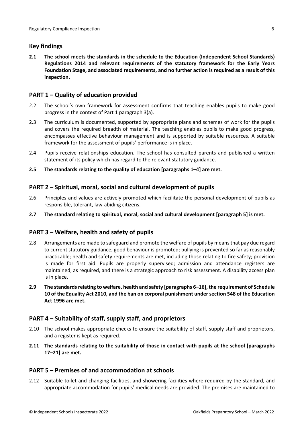# <span id="page-5-0"></span>**Key findings**

**2.1 The school meets the standards in the schedule to the Education (Independent School Standards) Regulations 2014 and relevant requirements of the statutory framework for the Early Years Foundation Stage, and associated requirements, and no further action is required as a result of this inspection.**

# <span id="page-5-1"></span>**PART 1 – Quality of education provided**

- 2.2 The school's own framework for assessment confirms that teaching enables pupils to make good progress in the context of Part 1 paragraph 3(a).
- 2.3 The curriculum is documented, supported by appropriate plans and schemes of work for the pupils and covers the required breadth of material. The teaching enables pupils to make good progress, encompasses effective behaviour management and is supported by suitable resources. A suitable framework for the assessment of pupils' performance is in place.
- 2.4 Pupils receive relationships education. The school has consulted parents and published a written statement of its policy which has regard to the relevant statutory guidance.
- **2.5 The standards relating to the quality of education [paragraphs 1–4] are met.**

# <span id="page-5-2"></span>**PART 2 – Spiritual, moral, social and cultural development of pupils**

- 2.6 Principles and values are actively promoted which facilitate the personal development of pupils as responsible, tolerant, law-abiding citizens.
- **2.7 The standard relating to spiritual, moral, social and cultural development [paragraph 5] is met.**

# <span id="page-5-3"></span>**PART 3 – Welfare, health and safety of pupils**

- 2.8 Arrangements are made to safeguard and promote the welfare of pupils by means that pay due regard to current statutory guidance; good behaviour is promoted; bullying is prevented so far as reasonably practicable; health and safety requirements are met, including those relating to fire safety; provision is made for first aid. Pupils are properly supervised; admission and attendance registers are maintained, as required, and there is a strategic approach to risk assessment. A disability access plan is in place.
- **2.9 The standardsrelating to welfare, health and safety [paragraphs 6–16], the requirement of Schedule 10 of the Equality Act 2010, and the ban on corporal punishment undersection 548 of the Education Act 1996 are met.**

# <span id="page-5-4"></span>**PART 4 – Suitability of staff, supply staff, and proprietors**

- 2.10 The school makes appropriate checks to ensure the suitability of staff, supply staff and proprietors, and a register is kept as required.
- **2.11 The standards relating to the suitability of those in contact with pupils at the school [paragraphs 17–21] are met.**

# <span id="page-5-5"></span>**PART 5 – Premises of and accommodation at schools**

2.12 Suitable toilet and changing facilities, and showering facilities where required by the standard, and appropriate accommodation for pupils' medical needs are provided. The premises are maintained to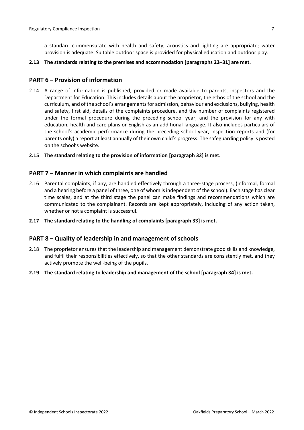a standard commensurate with health and safety; acoustics and lighting are appropriate; water provision is adequate. Suitable outdoor space is provided for physical education and outdoor play.

#### **2.13 The standards relating to the premises and accommodation [paragraphs 22–31] are met.**

#### <span id="page-6-0"></span>**PART 6 – Provision of information**

- 2.14 A range of information is published, provided or made available to parents, inspectors and the Department for Education. This includes details about the proprietor, the ethos of the school and the curriculum, and of the school's arrangementsfor admission, behaviour and exclusions, bullying, health and safety, first aid, details of the complaints procedure, and the number of complaints registered under the formal procedure during the preceding school year, and the provision for any with education, health and care plans or English as an additional language. It also includes particulars of the school's academic performance during the preceding school year, inspection reports and (for parents only) a report at least annually of their own child's progress. The safeguarding policy is posted on the school's website.
- **2.15 The standard relating to the provision of information [paragraph 32] is met.**

#### <span id="page-6-1"></span>**PART 7 – Manner in which complaints are handled**

- 2.16 Parental complaints, if any, are handled effectively through a three-stage process, (informal, formal and a hearing before a panel of three, one of whom isindependent of the school). Each stage has clear time scales, and at the third stage the panel can make findings and recommendations which are communicated to the complainant. Records are kept appropriately, including of any action taken, whether or not a complaint is successful.
- **2.17 The standard relating to the handling of complaints [paragraph 33] is met.**

#### <span id="page-6-2"></span>**PART 8 – Quality of leadership in and management of schools**

- 2.18 The proprietor ensures that the leadership and management demonstrate good skills and knowledge, and fulfil their responsibilities effectively, so that the other standards are consistently met, and they actively promote the well-being of the pupils.
- **2.19 The standard relating to leadership and management of the school [paragraph 34] is met.**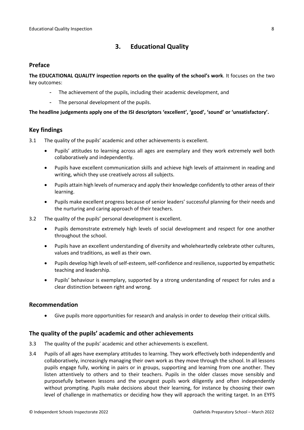# <span id="page-7-0"></span>**3. Educational Quality**

### <span id="page-7-1"></span>**Preface**

**The EDUCATIONAL QUALITY inspection reports on the quality of the school's work**. It focuses on the two key outcomes:

- The achievement of the pupils, including their academic development, and
- The personal development of the pupils.

### **The headline judgements apply one of the ISI descriptors 'excellent', 'good', 'sound' or 'unsatisfactory'.**

# <span id="page-7-2"></span>**Key findings**

- 3.1 The quality of the pupils' academic and other achievements is excellent.
	- Pupils' attitudes to learning across all ages are exemplary and they work extremely well both collaboratively and independently.
	- Pupils have excellent communication skills and achieve high levels of attainment in reading and writing, which they use creatively across all subjects.
	- Pupils attain high levels of numeracy and apply their knowledge confidently to other areas of their learning.
	- Pupils make excellent progress because of senior leaders' successful planning for their needs and the nurturing and caring approach of their teachers.
- 3.2 The quality of the pupils' personal development is excellent.
	- Pupils demonstrate extremely high levels of social development and respect for one another throughout the school.
	- Pupils have an excellent understanding of diversity and wholeheartedly celebrate other cultures, values and traditions, as well as their own.
	- Pupils develop high levels of self-esteem, self-confidence and resilience, supported by empathetic teaching and leadership.
	- Pupils' behaviour is exemplary, supported by a strong understanding of respect for rules and a clear distinction between right and wrong.

# <span id="page-7-3"></span>**Recommendation**

Give pupils more opportunities for research and analysis in order to develop their critical skills.

# <span id="page-7-4"></span>**The quality of the pupils' academic and other achievements**

- 3.3 The quality of the pupils' academic and other achievements is excellent.
- 3.4 Pupils of all ages have exemplary attitudes to learning. They work effectively both independently and collaboratively, increasingly managing their own work as they move through the school. In all lessons pupils engage fully, working in pairs or in groups, supporting and learning from one another. They listen attentively to others and to their teachers. Pupils in the older classes move sensibly and purposefully between lessons and the youngest pupils work diligently and often independently without prompting. Pupils make decisions about their learning, for instance by choosing their own level of challenge in mathematics or deciding how they will approach the writing target. In an EYFS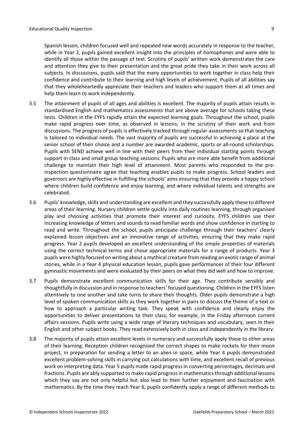Spanish lesson, children focused well and repeated new words accurately in response to the teacher, while in Year 2, pupils gained excellent insight into the principles of homophones and were able to identify all those within the passage of text. Scrutiny of pupils' written work demonstrates the care and attention they give to their presentation and the great pride they take in their work across all subjects. In discussions, pupils said that the many opportunities to work together in class help their confidence and contribute to their learning and high levels of achievement. Pupils of all abilities say that they wholeheartedly appreciate their teachers and leaders who support them at all times and help them learn to work independently.

- 3.5 The attainment of pupils of all ages and abilities is excellent. The majority of pupils attain results in standardised English and mathematics assessments that are above average for schools taking these tests. Children in the EYFS rapidly attain the expected learning goals. Throughout the school, pupils make rapid progress over time, as observed in lessons, in the scrutiny of their work and from discussions. The progress of pupils is effectively tracked through regular assessments so that teaching is tailored to individual needs. The vast majority of pupils are successful in achieving a place at the senior school of their choice and a number are awarded academic, sports or all-round scholarships. Pupils with SEND achieve well in line with their peers from their individual starting points through support in class and small group teaching sessions. Pupils who are more able benefit from additional challenge to maintain their high level of attainment. Most parents who responded to the preinspection questionnaire agree that teaching enables pupils to make progress. School leaders and governors are highly effective in fulfilling the schools' aims ensuring that they provide a happy school where children build confidence and enjoy learning, and where individual talents and strengths are celebrated.
- 3.6 Pupils' knowledge, skills and understanding are excellent and they successfully apply these to different areas of their learning. Nursery children settle quickly into daily routines learning, through organised play and choosing activities that promote their interest and curiosity. EYFS children use their increasing knowledge of letters and sounds to read familiar words and show confidence in starting to read and write. Throughout the school, pupils anticipate challenge through their teachers' clearly explained lesson objectives and an innovative range of activities, ensuring that they make rapid progress. Year 2 pupils developed an excellent understanding of the simple properties of materials using the correct technical terms and chose appropriate materials for a range of products. Year 3 pupils were highly focused on writing about a mythical creature from reading an exotic range of animal stories, while in a Year 4 physical education lesson, pupils gave performances of their four different gymnastic movements and were evaluated by their peers on what they did well and how to improve.
- 3.7 Pupils demonstrate excellent communication skills for their age. They contribute sensibly and thoughtfully in discussion and in response to teachers' focused questioning. Children in the EYFS listen attentively to one another and take turns to share their thoughts. Older pupils demonstrate a high level of spoken communication skills as they work together in pairs to discuss the theme of a text or how to approach a particular writing task. They speak with confidence and clearly enjoy the opportunities to deliver presentations to their class, for example, in the Friday afternoon current affairs sessions. Pupils write using a wide range of literary techniques and vocabulary, seen in their English and other subject books. They read extensively both in class and independently in the library.
- 3.8 The majority of pupils attain excellent levels in numeracy and successfully apply these to other areas of their learning. Reception children recognised the correct shapes to make rockets for their moon project, in preparation for sending a letter to an alien in space, while Year 4 pupils demonstrated excellent problem-solving skills in carrying out calculations with time, and excellent recall of previous work on interpreting data. Year 5 pupils made rapid progress in converting percentages, decimals and fractions. Pupils are ably supported to make rapid progress in mathematics through additional lessons which they say are not only helpful but also lead to their further enjoyment and fascination with mathematics. By the time they reach Year 6, pupils confidently apply a range of different methods to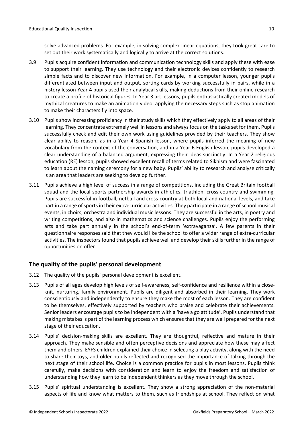solve advanced problems. For example, in solving complex linear equations, they took great care to set out their work systematically and logically to arrive at the correct solutions.

- 3.9 Pupils acquire confident information and communication technology skills and apply these with ease to support their learning. They use technology and their electronic devices confidently to research simple facts and to discover new information. For example, in a computer lesson, younger pupils differentiated between input and output, sorting cards by working successfully in pairs, while in a history lesson Year 4 pupils used their analytical skills, making deductions from their online research to create a profile of historical figures. In Year 3 art lessons, pupils enthusiastically created models of mythical creatures to make an animation video, applying the necessary steps such as stop animation to make their characters fly into space.
- 3.10 Pupils show increasing proficiency in their study skills which they effectively apply to all areas of their learning. They concentrate extremely well in lessons and always focus on the tasks set for them. Pupils successfully check and edit their own work using guidelines provided by their teachers. They show clear ability to reason, as in a Year 4 Spanish lesson, where pupils inferred the meaning of new vocabulary from the context of the conversation, and in a Year 6 English lesson, pupils developed a clear understanding of a balanced argument, expressing their ideas succinctly. In a Year 2 religious education (RE) lesson, pupils showed excellent recall of terms related to Sikhism and were fascinated to learn about the naming ceremony for a new baby. Pupils' ability to research and analyse critically is an area that leaders are seeking to develop further.
- 3.11 Pupils achieve a high level of success in a range of competitions, including the Great Britain football squad and the local sports partnership awards in athletics, triathlon, cross country and swimming. Pupils are successful in football, netball and cross-country at both local and national levels, and take part in a range of sports in their extra-curricular activities. They participate in a range of school musical events, in choirs, orchestra and individual music lessons. They are successful in the arts, in poetry and writing competitions, and also in mathematics and science challenges. Pupils enjoy the performing arts and take part annually in the school's end-of-term 'extravaganza'. A few parents in their questionnaire responses said that they would like the school to offer a wider range of extra-curricular activities. The inspectors found that pupils achieve well and develop their skills further in the range of opportunities on offer.

# <span id="page-9-0"></span>**The quality of the pupils' personal development**

- 3.12 The quality of the pupils' personal development is excellent.
- 3.13 Pupils of all ages develop high levels of self-awareness, self-confidence and resilience within a closeknit, nurturing, family environment. Pupils are diligent and absorbed in their learning. They work conscientiously and independently to ensure they make the most of each lesson. They are confident to be themselves, effectively supported by teachers who praise and celebrate their achievements. Senior leaders encourage pupils to be independent with a 'have a go attitude'. Pupils understand that making mistakes is part of the learning process which ensures that they are well prepared for the next stage of their education.
- 3.14 Pupils' decision-making skills are excellent. They are thoughtful, reflective and mature in their approach. They make sensible and often perceptive decisions and appreciate how these may affect them and others. EYFS children explained their choice in selecting a play activity, along with the need to share their toys, and older pupils reflected and recognised the importance of talking through the next stage of their school life. Choice is a common practice for pupils in most lessons. Pupils think carefully, make decisions with consideration and learn to enjoy the freedom and satisfaction of understanding how they learn to be independent thinkers as they move through the school.
- 3.15 Pupils' spiritual understanding is excellent. They show a strong appreciation of the non-material aspects of life and know what matters to them, such as friendships at school. They reflect on what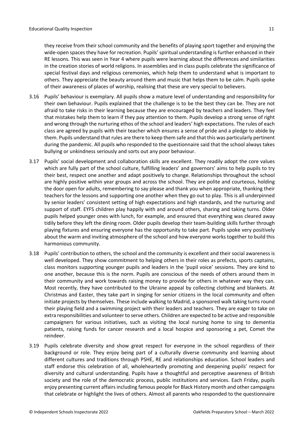they receive from their school community and the benefits of playing sport together and enjoying the wide-open spaces they have for recreation. Pupils' spiritual understanding is further enhanced in their RE lessons. This was seen in Year 4 where pupils were learning about the differences and similarities in the creation stories of world religions. In assemblies and in class pupils celebrate the significance of special festival days and religious ceremonies, which help them to understand what is important to others. They appreciate the beauty around them and music that helps them to be calm. Pupils spoke of their awareness of places of worship, realising that these are very special to believers.

- 3.16 Pupils' behaviour is exemplary. All pupils show a mature level of understanding and responsibility for their own behaviour. Pupils explained that the challenge is to be the best they can be. They are not afraid to take risks in their learning because they are encouraged by teachers and leaders. They feel that mistakes help them to learn if they pay attention to them. Pupils develop a strong sense of right and wrong through the nurturing ethos of the school and leaders' high expectations. The rules of each class are agreed by pupils with their teacher which ensures a sense of pride and a pledge to abide by them. Pupils understand that rules are there to keep them safe and that this was particularly pertinent during the pandemic. All pupils who responded to the questionnaire said that the school always takes bullying or unkindness seriously and sorts out any poor behaviour.
- 3.17 Pupils' social development and collaboration skills are excellent. They readily adopt the core values which are fully part of the school culture, fulfilling leaders' and governors' aims to help pupils to try their best, respect one another and adapt positively to change. Relationships throughout the school are highly positive within year groups and across the school. They are polite and courteous, holding the door open for adults, remembering to say please and thank you when appropriate, thanking their teachers for the lessons and supporting one another when they go out to play. This is all underpinned by senior leaders' consistent setting of high expectations and high standards, and the nurturing and support of staff. EYFS children play happily with and around others, sharing and taking turns. Older pupils helped younger ones with lunch, for example, and ensured that everything was cleared away tidily before they left the dining room. Older pupils develop their team-building skills further through playing fixtures and ensuring everyone has the opportunity to take part. Pupils spoke very positively about the warm and inviting atmosphere of the school and how everyone works together to build this harmonious community.
- 3.18 Pupils' contribution to others, the school and the community is excellent and their social awareness is well developed. They show commitment to helping others in their roles as prefects, sports captains, class monitors supporting younger pupils and leaders in the 'pupil voice' sessions. They are kind to one another, because this is the norm. Pupils are conscious of the needs of others around them in their community and work towards raising money to provide for others in whatever way they can. Most recently, they have contributed to the Ukraine appeal by collecting clothing and blankets. At Christmas and Easter, they take part in singing for senior citizens in the local community and often initiate projects by themselves. These include walking to Madrid, a sponsored walk taking turns round their playing field and a swimming project with their leaders and teachers. They are eager to take on extra responsibilities and volunteer to serve others. Children are expected to be active and responsible campaigners for various initiatives, such as visiting the local nursing home to sing to dementia patients, raising funds for cancer research and a local hospice and sponsoring a pet, Comet the reindeer.
- 3.19 Pupils celebrate diversity and show great respect for everyone in the school regardless of their background or role. They enjoy being part of a culturally diverse community and learning about different cultures and traditions through PSHE, RE and relationships education. School leaders and staff endorse this celebration of all, wholeheartedly promoting and deepening pupils' respect for diversity and cultural understanding. Pupils have a thoughtful and perceptive awareness of British society and the role of the democratic process, public institutions and services. Each Friday, pupils enjoy presenting current affairs including famous people for Black History month and other campaigns that celebrate or highlight the lives of others. Almost all parents who responded to the questionnaire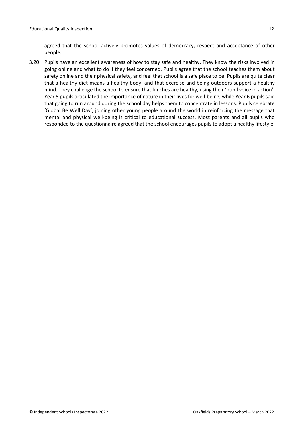agreed that the school actively promotes values of democracy, respect and acceptance of other people.

3.20 Pupils have an excellent awareness of how to stay safe and healthy. They know the risks involved in going online and what to do if they feel concerned. Pupils agree that the school teaches them about safety online and their physical safety, and feel that school is a safe place to be. Pupils are quite clear that a healthy diet means a healthy body, and that exercise and being outdoors support a healthy mind. They challenge the school to ensure that lunches are healthy, using their 'pupil voice in action'. Year 5 pupils articulated the importance of nature in their lives for well-being, while Year 6 pupils said that going to run around during the school day helps them to concentrate in lessons. Pupils celebrate 'Global Be Well Day', joining other young people around the world in reinforcing the message that mental and physical well-being is critical to educational success. Most parents and all pupils who responded to the questionnaire agreed that the school encourages pupils to adopt a healthy lifestyle.